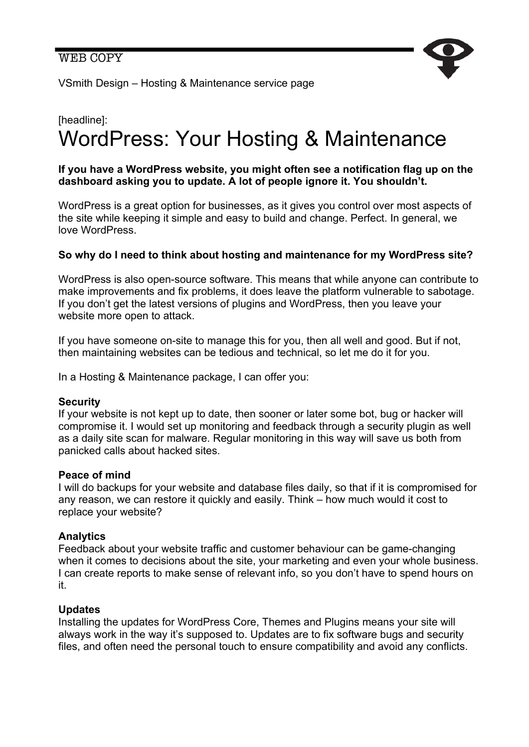

VSmith Design – Hosting & Maintenance service page

# [headline]: WordPress: Your Hosting & Maintenance

### **If you have a WordPress website, you might often see a notification flag up on the dashboard asking you to update. A lot of people ignore it. You shouldn't.**

WordPress is a great option for businesses, as it gives you control over most aspects of the site while keeping it simple and easy to build and change. Perfect. In general, we love WordPress.

## **So why do I need to think about hosting and maintenance for my WordPress site?**

WordPress is also open-source software. This means that while anyone can contribute to make improvements and fix problems, it does leave the platform vulnerable to sabotage. If you don't get the latest versions of plugins and WordPress, then you leave your website more open to attack.

If you have someone on-site to manage this for you, then all well and good. But if not, then maintaining websites can be tedious and technical, so let me do it for you.

In a Hosting & Maintenance package, I can offer you:

#### **Security**

If your website is not kept up to date, then sooner or later some bot, bug or hacker will compromise it. I would set up monitoring and feedback through a security plugin as well as a daily site scan for malware. Regular monitoring in this way will save us both from panicked calls about hacked sites.

#### **Peace of mind**

I will do backups for your website and database files daily, so that if it is compromised for any reason, we can restore it quickly and easily. Think – how much would it cost to replace your website?

#### **Analytics**

Feedback about your website traffic and customer behaviour can be game-changing when it comes to decisions about the site, your marketing and even your whole business. I can create reports to make sense of relevant info, so you don't have to spend hours on it.

#### **Updates**

Installing the updates for WordPress Core, Themes and Plugins means your site will always work in the way it's supposed to. Updates are to fix software bugs and security files, and often need the personal touch to ensure compatibility and avoid any conflicts.